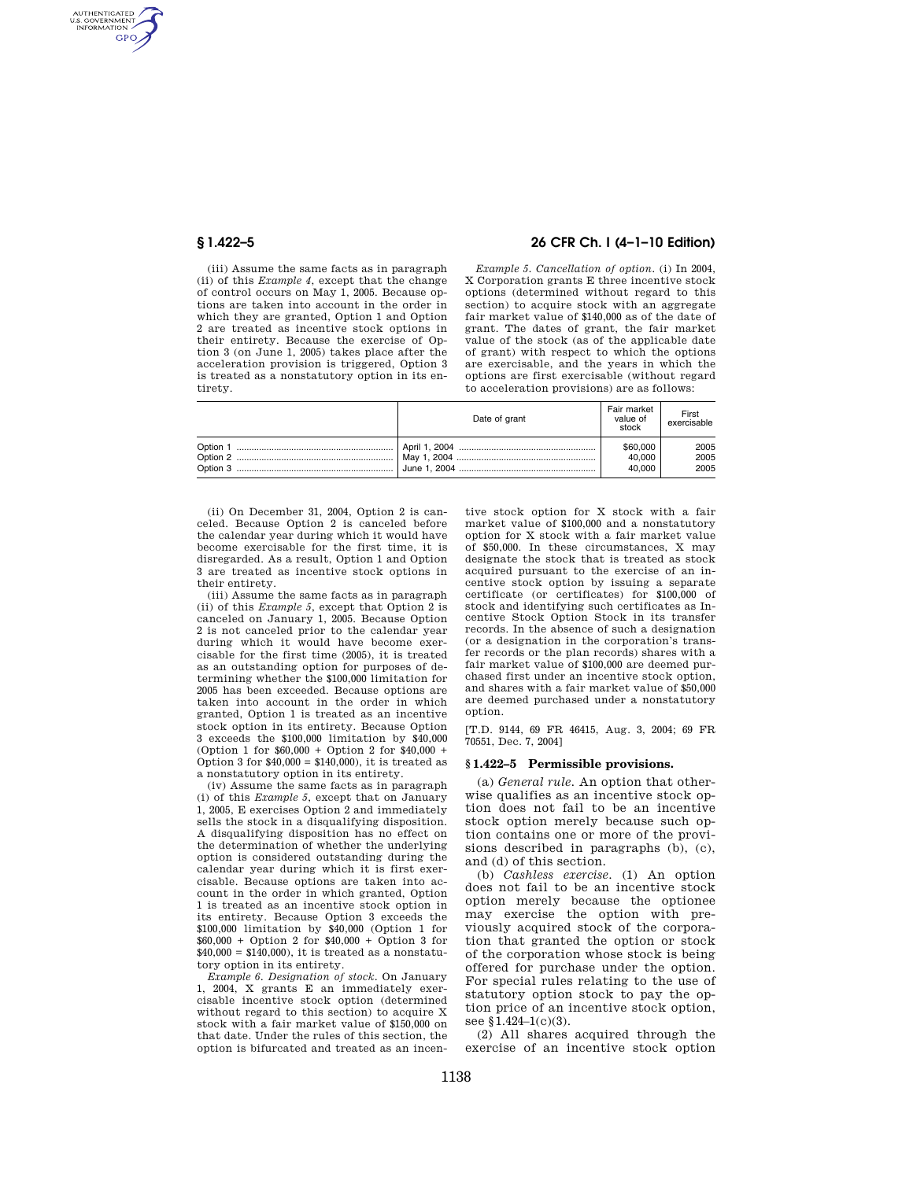AUTHENTICATED<br>U.S. GOVERNMENT<br>INFORMATION **GPO** 

> (iii) Assume the same facts as in paragraph (ii) of this *Example 4*, except that the change of control occurs on May 1, 2005. Because options are taken into account in the order in which they are granted, Option 1 and Option 2 are treated as incentive stock options in their entirety. Because the exercise of Option 3 (on June 1, 2005) takes place after the acceleration provision is triggered, Option 3 is treated as a nonstatutory option in its entirety.

# **§ 1.422–5 26 CFR Ch. I (4–1–10 Edition)**

*Example 5. Cancellation of option.* (i) In 2004, X Corporation grants E three incentive stock options (determined without regard to this section) to acquire stock with an aggregate fair market value of \$140,000 as of the date of grant. The dates of grant, the fair market value of the stock (as of the applicable date of grant) with respect to which the options are exercisable, and the years in which the options are first exercisable (without regard to acceleration provisions) are as follows:

| Date of grant | Fair market<br>value of<br>stock | First<br>exercisable |
|---------------|----------------------------------|----------------------|
|               | \$60,000                         | 2005                 |
|               | 40,000                           | 2005                 |
|               | 40.000                           | 2005                 |

(ii) On December 31, 2004, Option 2 is canceled. Because Option 2 is canceled before the calendar year during which it would have become exercisable for the first time, it is disregarded. As a result, Option 1 and Option 3 are treated as incentive stock options in their entirety.

(iii) Assume the same facts as in paragraph (ii) of this *Example 5*, except that Option 2 is canceled on January 1, 2005. Because Option 2 is not canceled prior to the calendar year during which it would have become exercisable for the first time (2005), it is treated as an outstanding option for purposes of determining whether the \$100,000 limitation for 2005 has been exceeded. Because options are taken into account in the order in which granted, Option 1 is treated as an incentive stock option in its entirety. Because Option 3 exceeds the \$100,000 limitation by \$40,000 (Option 1 for \$60,000 + Option 2 for \$40,000 + Option 3 for  $$40,000 = $140,000$ , it is treated as a nonstatutory option in its entirety.

(iv) Assume the same facts as in paragraph (i) of this *Example 5*, except that on January 1, 2005, E exercises Option 2 and immediately sells the stock in a disqualifying disposition. A disqualifying disposition has no effect on the determination of whether the underlying option is considered outstanding during the calendar year during which it is first exercisable. Because options are taken into account in the order in which granted, Option 1 is treated as an incentive stock option in its entirety. Because Option 3 exceeds the \$100,000 limitation by \$40,000 (Option 1 for \$60,000 + Option 2 for \$40,000 + Option 3 for  $$40,000 = $140,000$ , it is treated as a nonstatutory option in its entirety.

*Example 6. Designation of stock.* On January 1, 2004, X grants E an immediately exercisable incentive stock option (determined without regard to this section) to acquire X stock with a fair market value of \$150,000 on that date. Under the rules of this section, the option is bifurcated and treated as an incen-

tive stock option for X stock with a fair market value of \$100,000 and a nonstatutory option for X stock with a fair market value of \$50,000. In these circumstances, X may designate the stock that is treated as stock acquired pursuant to the exercise of an incentive stock option by issuing a separate certificate (or certificates) for \$100,000 of stock and identifying such certificates as Incentive Stock Option Stock in its transfer records. In the absence of such a designation (or a designation in the corporation's transfer records or the plan records) shares with a fair market value of \$100,000 are deemed purchased first under an incentive stock option, and shares with a fair market value of \$50,000 are deemed purchased under a nonstatutory option.

[T.D. 9144, 69 FR 46415, Aug. 3, 2004; 69 FR 70551, Dec. 7, 2004]

#### **§ 1.422–5 Permissible provisions.**

(a) *General rule.* An option that otherwise qualifies as an incentive stock option does not fail to be an incentive stock option merely because such option contains one or more of the provisions described in paragraphs (b), (c), and (d) of this section.

(b) *Cashless exercise*. (1) An option does not fail to be an incentive stock option merely because the optionee may exercise the option with previously acquired stock of the corporation that granted the option or stock of the corporation whose stock is being offered for purchase under the option. For special rules relating to the use of statutory option stock to pay the option price of an incentive stock option, see §1.424-1(c)(3).

(2) All shares acquired through the exercise of an incentive stock option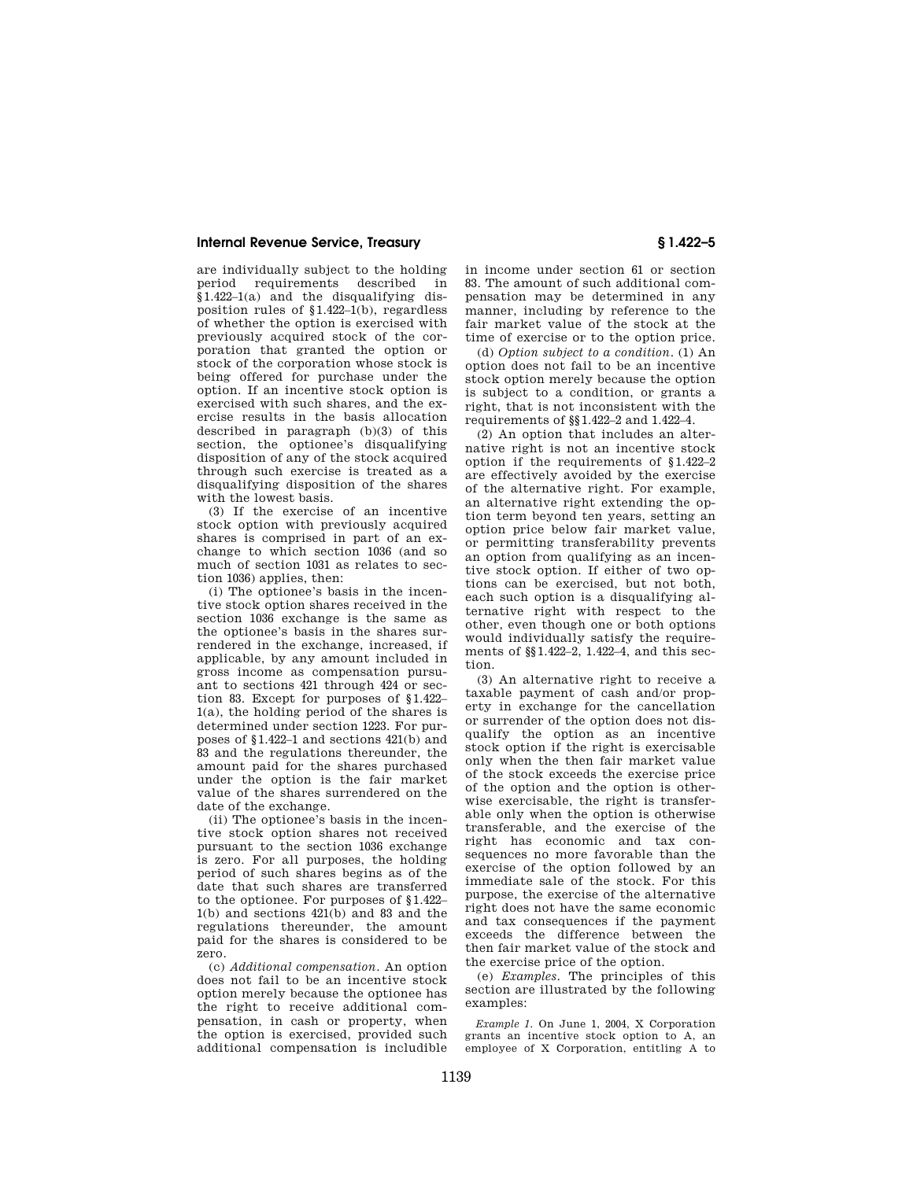## **Internal Revenue Service, Treasury § 1.422–5**

are individually subject to the holding period requirements described in §1.422–1(a) and the disqualifying disposition rules of §1.422–1(b), regardless of whether the option is exercised with previously acquired stock of the corporation that granted the option or stock of the corporation whose stock is being offered for purchase under the option. If an incentive stock option is exercised with such shares, and the exercise results in the basis allocation described in paragraph (b)(3) of this section, the optionee's disqualifying disposition of any of the stock acquired through such exercise is treated as a disqualifying disposition of the shares with the lowest basis.

(3) If the exercise of an incentive stock option with previously acquired shares is comprised in part of an exchange to which section 1036 (and so much of section 1031 as relates to section 1036) applies, then:

(i) The optionee's basis in the incentive stock option shares received in the section 1036 exchange is the same as the optionee's basis in the shares surrendered in the exchange, increased, if applicable, by any amount included in gross income as compensation pursuant to sections 421 through 424 or section 83. Except for purposes of §1.422– 1(a), the holding period of the shares is determined under section 1223. For purposes of §1.422–1 and sections 421(b) and 83 and the regulations thereunder, the amount paid for the shares purchased under the option is the fair market value of the shares surrendered on the date of the exchange.

(ii) The optionee's basis in the incentive stock option shares not received pursuant to the section 1036 exchange is zero. For all purposes, the holding period of such shares begins as of the date that such shares are transferred to the optionee. For purposes of §1.422– 1(b) and sections 421(b) and 83 and the regulations thereunder, the amount paid for the shares is considered to be zero.

(c) *Additional compensation*. An option does not fail to be an incentive stock option merely because the optionee has the right to receive additional compensation, in cash or property, when the option is exercised, provided such additional compensation is includible

in income under section 61 or section 83. The amount of such additional compensation may be determined in any manner, including by reference to the fair market value of the stock at the time of exercise or to the option price.

(d) *Option subject to a condition*. (1) An option does not fail to be an incentive stock option merely because the option is subject to a condition, or grants a right, that is not inconsistent with the requirements of §§1.422–2 and 1.422–4.

(2) An option that includes an alternative right is not an incentive stock option if the requirements of §1.422–2 are effectively avoided by the exercise of the alternative right. For example, an alternative right extending the option term beyond ten years, setting an option price below fair market value, or permitting transferability prevents an option from qualifying as an incentive stock option. If either of two options can be exercised, but not both, each such option is a disqualifying alternative right with respect to the other, even though one or both options would individually satisfy the requirements of §§1.422–2, 1.422–4, and this section.

(3) An alternative right to receive a taxable payment of cash and/or property in exchange for the cancellation or surrender of the option does not disqualify the option as an incentive stock option if the right is exercisable only when the then fair market value of the stock exceeds the exercise price of the option and the option is otherwise exercisable, the right is transferable only when the option is otherwise transferable, and the exercise of the right has economic and tax consequences no more favorable than the exercise of the option followed by an immediate sale of the stock. For this purpose, the exercise of the alternative right does not have the same economic and tax consequences if the payment exceeds the difference between the then fair market value of the stock and the exercise price of the option.

(e) *Examples*. The principles of this section are illustrated by the following examples:

*Example 1.* On June 1, 2004, X Corporation grants an incentive stock option to A, an employee of X Corporation, entitling A to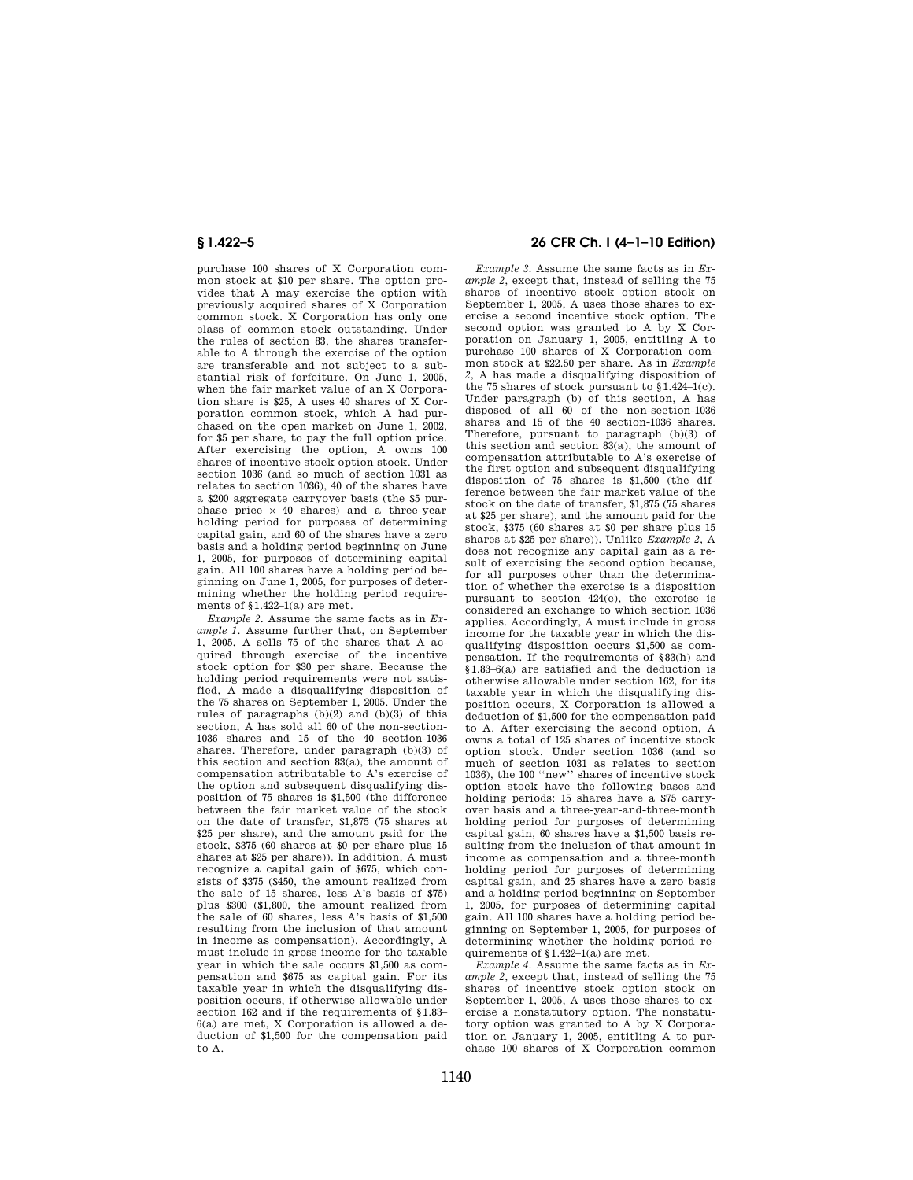purchase 100 shares of X Corporation common stock at \$10 per share. The option provides that A may exercise the option with previously acquired shares of X Corporation common stock. X Corporation has only one class of common stock outstanding. Under the rules of section 83, the shares transferable to A through the exercise of the option are transferable and not subject to a substantial risk of forfeiture. On June 1, 2005, when the fair market value of an X Corporation share is  $$25$ , A uses 40 shares of X Corporation common stock, which A had purchased on the open market on June 1, 2002, for \$5 per share, to pay the full option price. After exercising the option, A owns 100 shares of incentive stock option stock. Under section 1036 (and so much of section 1031 as relates to section 1036), 40 of the shares have a \$200 aggregate carryover basis (the \$5 purchase price  $\times$  40 shares) and a three-year holding period for purposes of determining capital gain, and 60 of the shares have a zero basis and a holding period beginning on June 1, 2005, for purposes of determining capital gain. All 100 shares have a holding period beginning on June 1, 2005, for purposes of determining whether the holding period requirements of §1.422–1(a) are met.

*Example 2.* Assume the same facts as in *Example 1.* Assume further that, on September 1, 2005, A sells 75 of the shares that A acquired through exercise of the incentive stock option for \$30 per share. Because the holding period requirements were not satisfied, A made a disqualifying disposition of the 75 shares on September 1, 2005. Under the rules of paragraphs (b)(2) and (b)(3) of this section, A has sold all 60 of the non-section-1036 shares and 15 of the 40 section-1036 shares. Therefore, under paragraph (b)(3) of this section and section 83(a), the amount of compensation attributable to A's exercise of the option and subsequent disqualifying disposition of 75 shares is \$1,500 (the difference between the fair market value of the stock on the date of transfer, \$1,875 (75 shares at \$25 per share), and the amount paid for the stock, \$375 (60 shares at \$0 per share plus 15 shares at \$25 per share)). In addition, A must recognize a capital gain of \$675, which consists of \$375 (\$450, the amount realized from the sale of 15 shares, less A's basis of \$75) plus \$300 (\$1,800, the amount realized from the sale of 60 shares, less A's basis of \$1,500 resulting from the inclusion of that amount in income as compensation). Accordingly, A must include in gross income for the taxable year in which the sale occurs \$1,500 as compensation and \$675 as capital gain. For its taxable year in which the disqualifying disposition occurs, if otherwise allowable under section 162 and if the requirements of \$1.83– 6(a) are met, X Corporation is allowed a deduction of \$1,500 for the compensation paid to A.

# **§ 1.422–5 26 CFR Ch. I (4–1–10 Edition)**

*Example 3.* Assume the same facts as in *Example 2*, except that, instead of selling the 75 shares of incentive stock option stock on September 1, 2005, A uses those shares to exercise a second incentive stock option. The second option was granted to A by X Corporation on January 1, 2005, entitling A to purchase 100 shares of X Corporation common stock at \$22.50 per share. As in *Example 2*, A has made a disqualifying disposition of the 75 shares of stock pursuant to §1.424–1(c). Under paragraph (b) of this section, A has disposed of all 60 of the non-section-1036 shares and 15 of the 40 section-1036 shares. Therefore, pursuant to paragraph (b)(3) of this section and section 83(a), the amount of compensation attributable to A's exercise of the first option and subsequent disqualifying disposition of 75 shares is \$1,500 (the difference between the fair market value of the stock on the date of transfer, \$1,875 (75 shares at \$25 per share), and the amount paid for the stock, \$375 (60 shares at \$0 per share plus 15 shares at \$25 per share)). Unlike *Example 2*, A does not recognize any capital gain as a result of exercising the second option because, for all purposes other than the determination of whether the exercise is a disposition pursuant to section 424(c), the exercise is considered an exchange to which section 1036 applies. Accordingly, A must include in gross income for the taxable year in which the disqualifying disposition occurs \$1,500 as compensation. If the requirements of §83(h) and §1.83–6(a) are satisfied and the deduction is otherwise allowable under section 162, for its taxable year in which the disqualifying disposition occurs, X Corporation is allowed a deduction of \$1,500 for the compensation paid to A. After exercising the second option, A owns a total of 125 shares of incentive stock option stock. Under section 1036 (and so much of section 1031 as relates to section 1036), the 100 ''new'' shares of incentive stock option stock have the following bases and holding periods: 15 shares have a \$75 carryover basis and a three-year-and-three-month holding period for purposes of determining capital gain, 60 shares have a \$1,500 basis resulting from the inclusion of that amount in income as compensation and a three-month holding period for purposes of determining capital gain, and 25 shares have a zero basis and a holding period beginning on September 1, 2005, for purposes of determining capital gain. All 100 shares have a holding period beginning on September 1, 2005, for purposes of determining whether the holding period requirements of  $$1.422-1(a)$  are met.

*Example 4.* Assume the same facts as in *Example 2*, except that, instead of selling the 75 shares of incentive stock option stock on September 1, 2005, A uses those shares to exercise a nonstatutory option. The nonstatutory option was granted to A by X Corporation on January 1, 2005, entitling A to purchase 100 shares of X Corporation common